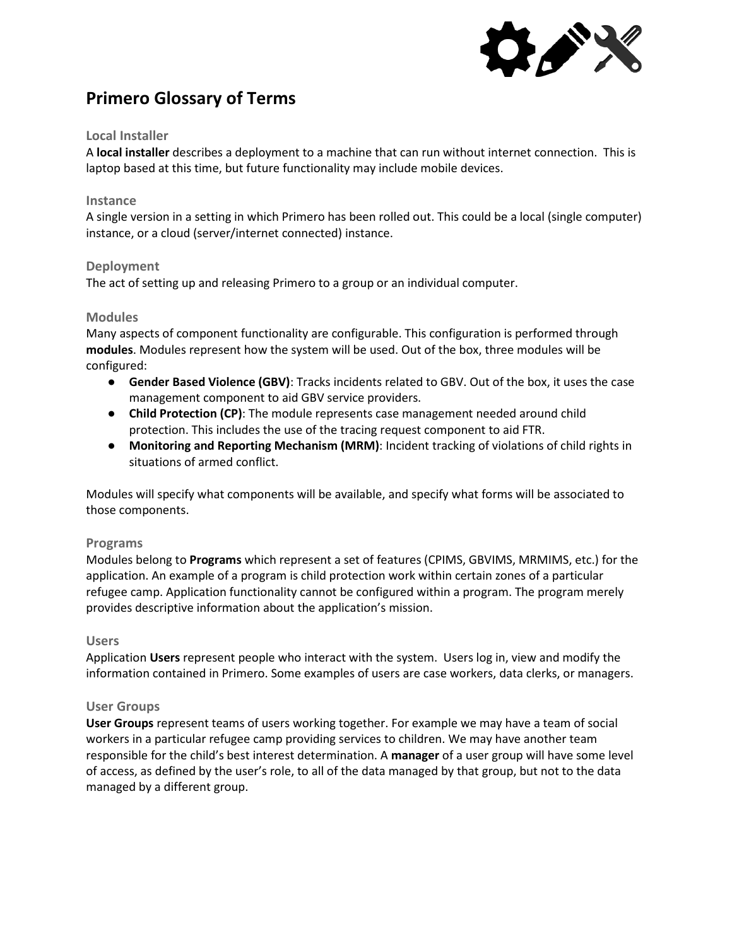

# **Primero Glossary of Terms**

## **Local Installer**

A **local installer** describes a deployment to a machine that can run without internet connection. This is laptop based at this time, but future functionality may include mobile devices.

## **Instance**

A single version in a setting in which Primero has been rolled out. This could be a local (single computer) instance, or a cloud (server/internet connected) instance.

## **Deployment**

The act of setting up and releasing Primero to a group or an individual computer.

## **Modules**

Many aspects of component functionality are configurable. This configuration is performed through **modules**. Modules represent how the system will be used. Out of the box, three modules will be configured:

- **Gender Based Violence (GBV)**: Tracks incidents related to GBV. Out of the box, it uses the case management component to aid GBV service providers.
- **Child Protection (CP)**: The module represents case management needed around child protection. This includes the use of the tracing request component to aid FTR.
- **Monitoring and Reporting Mechanism (MRM)**: Incident tracking of violations of child rights in situations of armed conflict.

Modules will specify what components will be available, and specify what forms will be associated to those components.

## **Programs**

Modules belong to **Programs** which represent a set of features (CPIMS, GBVIMS, MRMIMS, etc.) for the application. An example of a program is child protection work within certain zones of a particular refugee camp. Application functionality cannot be configured within a program. The program merely provides descriptive information about the application's mission.

## **Users**

Application **Users** represent people who interact with the system. Users log in, view and modify the information contained in Primero. Some examples of users are case workers, data clerks, or managers.

## **User Groups**

**User Groups** represent teams of users working together. For example we may have a team of social workers in a particular refugee camp providing services to children. We may have another team responsible for the child's best interest determination. A **manager** of a user group will have some level of access, as defined by the user's role, to all of the data managed by that group, but not to the data managed by a different group.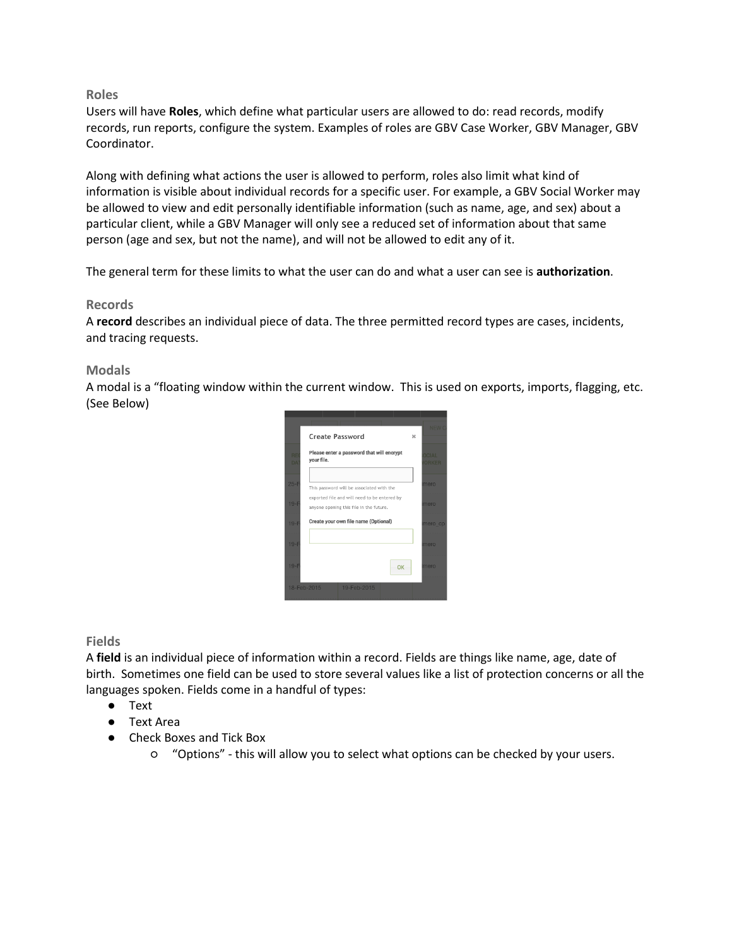## **Roles**

Users will have **Roles**, which define what particular users are allowed to do: read records, modify records, run reports, configure the system. Examples of roles are GBV Case Worker, GBV Manager, GBV Coordinator.

Along with defining what actions the user is allowed to perform, roles also limit what kind of information is visible about individual records for a specific user. For example, a GBV Social Worker may be allowed to view and edit personally identifiable information (such as name, age, and sex) about a particular client, while a GBV Manager will only see a reduced set of information about that same person (age and sex, but not the name), and will not be allowed to edit any of it.

The general term for these limits to what the user can do and what a user can see is **authorization**.

## **Records**

A **record** describes an individual piece of data. The three permitted record types are cases, incidents, and tracing requests.

## **Modals**

A modal is a "floating window within the current window. This is used on exports, imports, flagging, etc. (See Below)



**Fields**

A **field** is an individual piece of information within a record. Fields are things like name, age, date of birth. Sometimes one field can be used to store several values like a list of protection concerns or all the languages spoken. Fields come in a handful of types:

- Text
- Text Area
- Check Boxes and Tick Box
	- "Options" this will allow you to select what options can be checked by your users.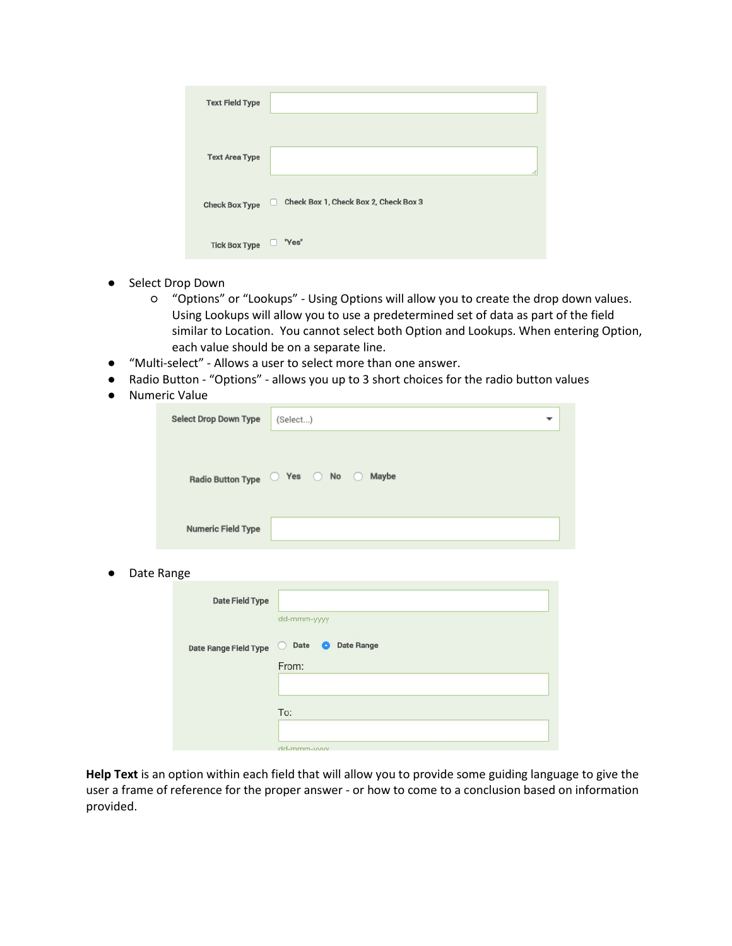| <b>Text Field Type</b> |                                            |
|------------------------|--------------------------------------------|
|                        |                                            |
| <b>Text Area Type</b>  |                                            |
| <b>Check Box Type</b>  | Check Box 1, Check Box 2, Check Box 3<br>M |
| <b>Tick Box Type</b>   | "Yes"                                      |

- Select Drop Down
	- "Options" or "Lookups" Using Options will allow you to create the drop down values. Using Lookups will allow you to use a predetermined set of data as part of the field similar to Location. You cannot select both Option and Lookups. When entering Option, each value should be on a separate line.
- "Multi-select" Allows a user to select more than one answer.
- Radio Button "Options" allows you up to 3 short choices for the radio button values
- Numeric Value

| <b>Select Drop Down Type</b> | (Select)                              |
|------------------------------|---------------------------------------|
|                              |                                       |
|                              | Radio Button Type   Yes   No<br>Maybe |
|                              |                                       |
| <b>Numeric Field Type</b>    |                                       |

● Date Range

| <b>Date Field Type</b> |                                             |
|------------------------|---------------------------------------------|
|                        | dd-mmm-yyyy                                 |
| Date Range Field Type  | <b>Date Range</b><br>Date<br>$\bullet$<br>C |
|                        | From:                                       |
|                        |                                             |
|                        | To:                                         |
|                        | dd-mmm-yyyy                                 |

**Help Text** is an option within each field that will allow you to provide some guiding language to give the user a frame of reference for the proper answer - or how to come to a conclusion based on information provided.